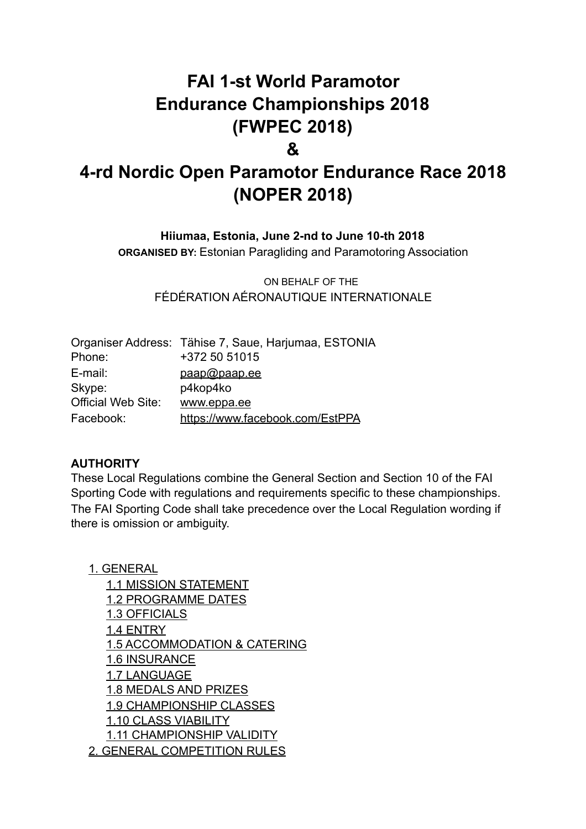# **FAI 1-st World Paramotor Endurance Championships 2018 (FWPEC 2018)**

### **&**

# **4-rd Nordic Open Paramotor Endurance Race 2018 (NOPER 2018)**

**Hiiumaa, Estonia, June 2-nd to June 10-th 2018**

**ORGANISED BY:** Estonian Paragliding and Paramotoring Association

ON BEHALF OF THE FÉDÉRATION AÉRONAUTIQUE INTERNATIONALE

|                           | Organiser Address: Tähise 7, Saue, Harjumaa, ESTONIA |
|---------------------------|------------------------------------------------------|
| Phone:                    | +372 50 51015                                        |
| E-mail:                   | paap@paap.ee                                         |
| Skype:                    | p4kop4ko                                             |
| <b>Official Web Site:</b> | www.eppa.ee                                          |
| Facebook:                 | https://www.facebook.com/EstPPA                      |

#### **AUTHORITY**

These Local Regulations combine the General Section and Section 10 of the FAI Sporting Code with regulations and requirements specific to these championships. The FAI Sporting Code shall take precedence over the Local Regulation wording if there is omission or ambiguity.

1. GENERAL 1.1 MISSION STATEMENT 1.2 PROGRAMME DATES 1.3 OFFICIALS 1.4 ENTRY 1.5 ACCOMMODATION & CATERING 1.6 INSURANCE 1.7 LANGUAGE 1.8 MEDALS AND PRIZES 1.9 CHAMPIONSHIP CLASSES 1.10 CLASS VIABILITY 1.11 CHAMPIONSHIP VALIDITY 2. GENERAL COMPETITION RULES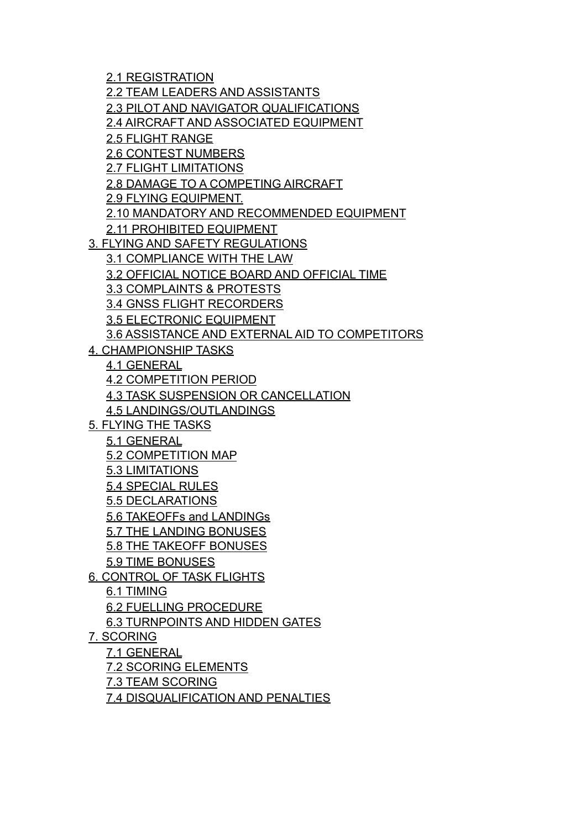2.1 REGISTRATION 2.2 TEAM LEADERS AND ASSISTANTS 2.3 PILOT AND NAVIGATOR QUALIFICATIONS 2.4 AIRCRAFT AND ASSOCIATED EQUIPMENT 2.5 FLIGHT RANGE 2.6 CONTEST NUMBERS 2.7 FLIGHT LIMITATIONS 2.8 DAMAGE TO A COMPETING AIRCRAFT 2.9 FLYING EQUIPMENT. 2.10 MANDATORY AND RECOMMENDED EQUIPMENT 2.11 PROHIBITED EQUIPMENT 3. FLYING AND SAFETY REGULATIONS 3.1 COMPLIANCE WITH THE LAW 3.2 OFFICIAL NOTICE BOARD AND OFFICIAL TIME 3.3 COMPLAINTS & PROTESTS 3.4 GNSS FLIGHT RECORDERS 3.5 ELECTRONIC EQUIPMENT 3.6 ASSISTANCE AND EXTERNAL AID TO COMPETITORS 4. CHAMPIONSHIP TASKS 4.1 GENERAL 4.2 COMPETITION PERIOD 4.3 TASK SUSPENSION OR CANCELLATION 4.5 LANDINGS/OUTLANDINGS 5. FLYING THE TASKS 5.1 GENERAL 5.2 COMPETITION MAP 5.3 LIMITATIONS 5.4 SPECIAL RULES 5.5 DECLARATIONS 5.6 TAKEOFFs and LANDINGs 5.7 THE LANDING BONUSES 5.8 THE TAKEOFF BONUSES 5.9 TIME BONUSES 6. CONTROL OF TASK FLIGHTS 6.1 TIMING 6.2 FUELLING PROCEDURE 6.3 TURNPOINTS AND HIDDEN GATES 7. SCORING 7.1 GENERAL 7.2 SCORING ELEMENTS 7.3 TEAM SCORING 7.4 DISQUALIFICATION AND PENALTIES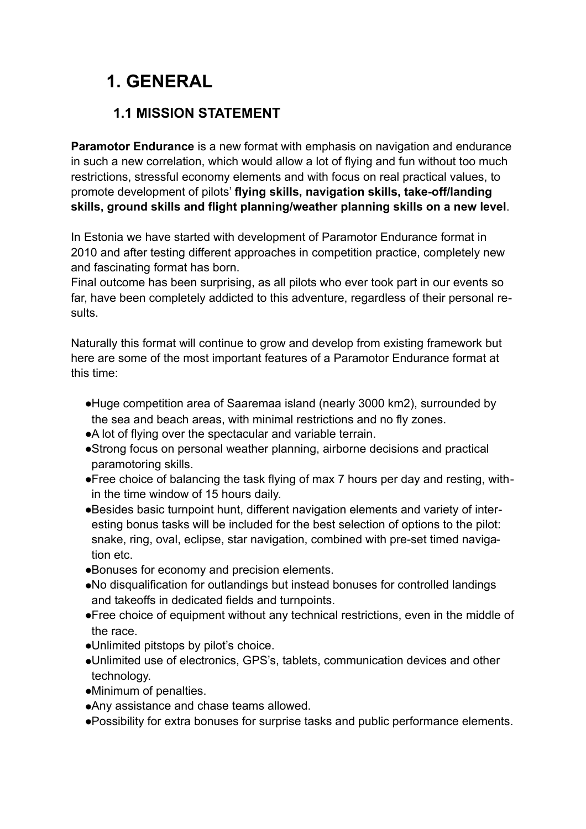# **1. GENERAL**

## **1.1 MISSION STATEMENT**

**Paramotor Endurance** is a new format with emphasis on navigation and endurance in such a new correlation, which would allow a lot of flying and fun without too much restrictions, stressful economy elements and with focus on real practical values, to promote development of pilots' **flying skills, navigation skills, take-off/landing skills, ground skills and flight planning/weather planning skills on a new level**.

In Estonia we have started with development of Paramotor Endurance format in 2010 and after testing different approaches in competition practice, completely new and fascinating format has born.

Final outcome has been surprising, as all pilots who ever took part in our events so far, have been completely addicted to this adventure, regardless of their personal results.

Naturally this format will continue to grow and develop from existing framework but here are some of the most important features of a Paramotor Endurance format at this time:

- ●Huge competition area of Saaremaa island (nearly 3000 km2), surrounded by the sea and beach areas, with minimal restrictions and no fly zones.
- ●A lot of flying over the spectacular and variable terrain.
- ●Strong focus on personal weather planning, airborne decisions and practical paramotoring skills.
- ●Free choice of balancing the task flying of max 7 hours per day and resting, within the time window of 15 hours daily.
- ●Besides basic turnpoint hunt, different navigation elements and variety of interesting bonus tasks will be included for the best selection of options to the pilot: snake, ring, oval, eclipse, star navigation, combined with pre-set timed navigation etc.
- ●Bonuses for economy and precision elements.
- ●No disqualification for outlandings but instead bonuses for controlled landings and takeoffs in dedicated fields and turnpoints.
- ●Free choice of equipment without any technical restrictions, even in the middle of the race.
- ●Unlimited pitstops by pilot's choice.
- ●Unlimited use of electronics, GPS's, tablets, communication devices and other technology.
- ●Minimum of penalties.
- ●Any assistance and chase teams allowed.
- ●Possibility for extra bonuses for surprise tasks and public performance elements.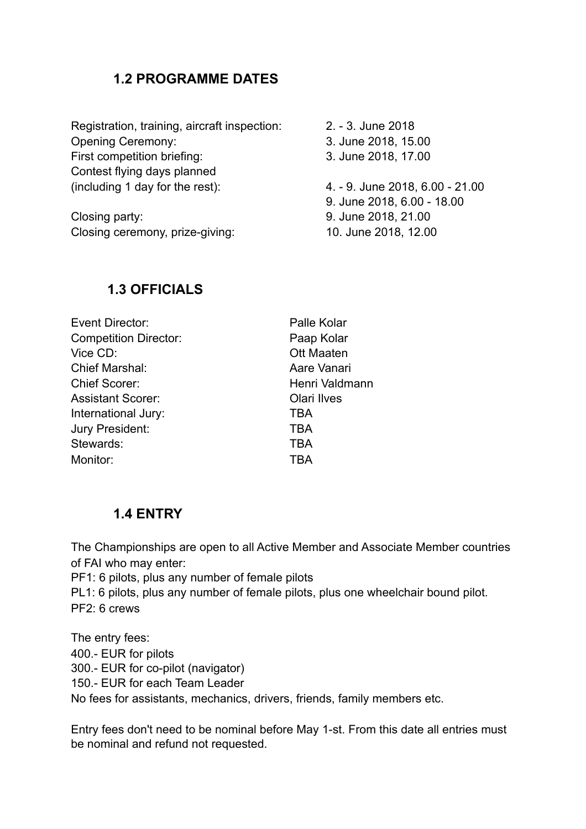### **1.2 PROGRAMME DATES**

| 2. - 3. June 2018               |
|---------------------------------|
| 3. June 2018, 15.00             |
| 3. June 2018, 17.00             |
|                                 |
| 4. - 9. June 2018, 6.00 - 21.00 |
| 9. June 2018, 6.00 - 18.00      |
| 9. June 2018, 21.00             |
| 10. June 2018, 12.00            |
|                                 |

#### **1.3 OFFICIALS**

| Event Director:              | Palle Kolar        |
|------------------------------|--------------------|
| <b>Competition Director:</b> | Paap Kolar         |
| Vice CD:                     | <b>Ott Maaten</b>  |
| <b>Chief Marshal:</b>        | Aare Vanari        |
| <b>Chief Scorer:</b>         | Henri Valdmann     |
| <b>Assistant Scorer:</b>     | <b>Olari Ilves</b> |
| International Jury:          | TBA                |
| Jury President:              | TBA                |
| Stewards:                    | TBA                |
| Monitor:                     | <b>TBA</b>         |
|                              |                    |

### **1.4 ENTRY**

The Championships are open to all Active Member and Associate Member countries of FAI who may enter:

PF1: 6 pilots, plus any number of female pilots

PL1: 6 pilots, plus any number of female pilots, plus one wheelchair bound pilot. PF2: 6 crews

The entry fees: 400.- EUR for pilots 300.- EUR for co-pilot (navigator) 150.- EUR for each Team Leader No fees for assistants, mechanics, drivers, friends, family members etc.

Entry fees don't need to be nominal before May 1-st. From this date all entries must be nominal and refund not requested.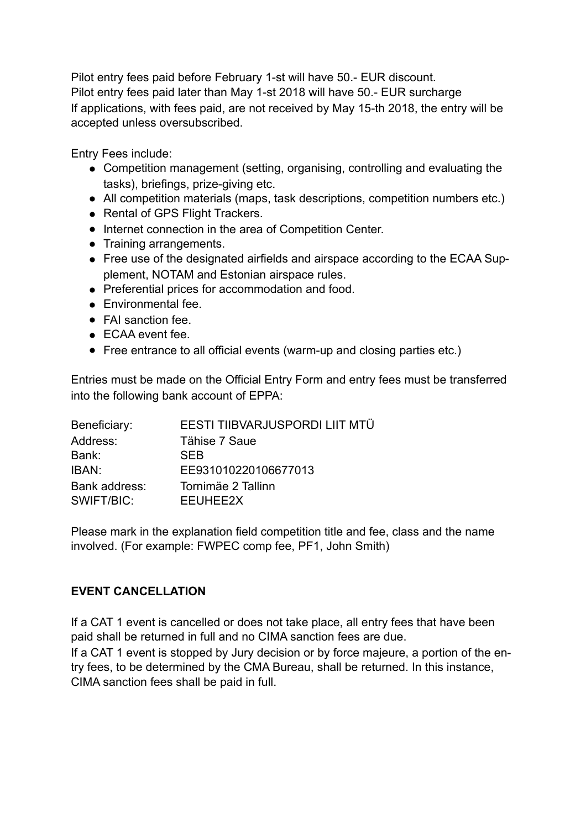Pilot entry fees paid before February 1-st will have 50.- EUR discount. Pilot entry fees paid later than May 1-st 2018 will have 50.- EUR surcharge If applications, with fees paid, are not received by May 15-th 2018, the entry will be accepted unless oversubscribed.

Entry Fees include:

- Competition management (setting, organising, controlling and evaluating the tasks), briefings, prize-giving etc.
- All competition materials (maps, task descriptions, competition numbers etc.)
- Rental of GPS Flight Trackers.
- Internet connection in the area of Competition Center.
- Training arrangements.
- Free use of the designated airfields and airspace according to the ECAA Supplement, NOTAM and Estonian airspace rules.
- Preferential prices for accommodation and food.
- Environmental fee.
- FAI sanction fee.
- ECAA event fee.
- Free entrance to all official events (warm-up and closing parties etc.)

Entries must be made on the Official Entry Form and entry fees must be transferred into the following bank account of EPPA:

| Beneficiary:  | EESTI TIIBVARJUSPORDI LIIT MTÜ |
|---------------|--------------------------------|
| Address:      | Tähise 7 Saue                  |
| Bank:         | <b>SFB</b>                     |
| IBAN:         | EE931010220106677013           |
| Bank address: | Tornimäe 2 Tallinn             |
| SWIFT/BIC:    | EEUHEE2X                       |

Please mark in the explanation field competition title and fee, class and the name involved. (For example: FWPEC comp fee, PF1, John Smith)

#### **EVENT CANCELLATION**

If a CAT 1 event is cancelled or does not take place, all entry fees that have been paid shall be returned in full and no CIMA sanction fees are due. If a CAT 1 event is stopped by Jury decision or by force majeure, a portion of the entry fees, to be determined by the CMA Bureau, shall be returned. In this instance, CIMA sanction fees shall be paid in full.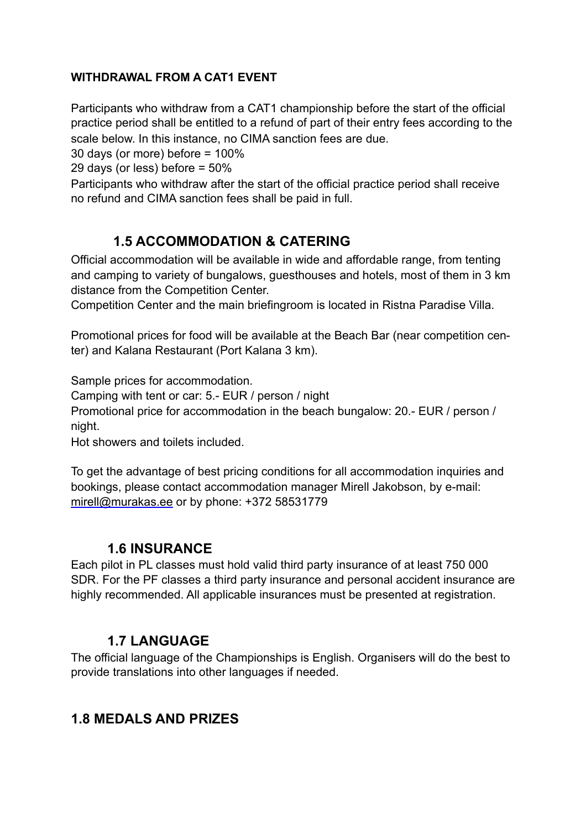#### **WITHDRAWAL FROM A CAT1 EVENT**

Participants who withdraw from a CAT1 championship before the start of the official practice period shall be entitled to a refund of part of their entry fees according to the scale below. In this instance, no CIMA sanction fees are due.

30 days (or more) before = 100%

29 days (or less) before = 50%

Participants who withdraw after the start of the official practice period shall receive no refund and CIMA sanction fees shall be paid in full.

## **1.5 ACCOMMODATION & CATERING**

Official accommodation will be available in wide and affordable range, from tenting and camping to variety of bungalows, guesthouses and hotels, most of them in 3 km distance from the Competition Center.

Competition Center and the main briefingroom is located in Ristna Paradise Villa.

Promotional prices for food will be available at the Beach Bar (near competition center) and Kalana Restaurant (Port Kalana 3 km).

Sample prices for accommodation.

Camping with tent or car: 5.- EUR / person / night

Promotional price for accommodation in the beach bungalow: 20.- EUR / person / night.

Hot showers and toilets included.

To get the advantage of best pricing conditions for all accommodation inquiries and bookings, please contact accommodation manager Mirell Jakobson, by e-mail: [mirell@murakas.ee](mailto:mirell@murakas.ee) or by phone: +372 58531779

### **1.6 INSURANCE**

Each pilot in PL classes must hold valid third party insurance of at least 750 000 SDR. For the PF classes a third party insurance and personal accident insurance are highly recommended. All applicable insurances must be presented at registration.

### **1.7 LANGUAGE**

The official language of the Championships is English. Organisers will do the best to provide translations into other languages if needed.

### **1.8 MEDALS AND PRIZES**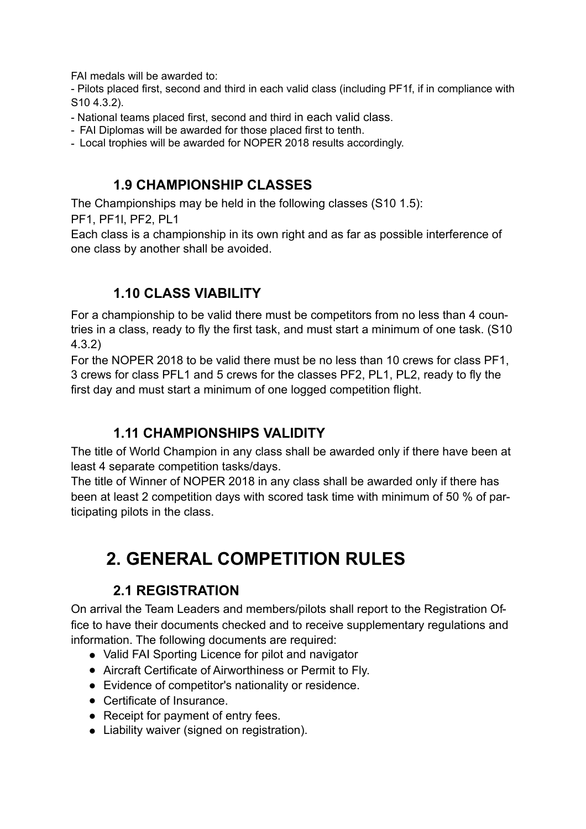FAI medals will be awarded to:

- Pilots placed first, second and third in each valid class (including PF1f, if in compliance with S10 4.3.2).

- National teams placed first, second and third in each valid class.
- FAI Diplomas will be awarded for those placed first to tenth.

- Local trophies will be awarded for NOPER 2018 results accordingly.

### **1.9 CHAMPIONSHIP CLASSES**

The Championships may be held in the following classes (S10 1.5):

PF1, PF1l, PF2, PL1

Each class is a championship in its own right and as far as possible interference of one class by another shall be avoided.

## **1.10 CLASS VIABILITY**

For a championship to be valid there must be competitors from no less than 4 countries in a class, ready to fly the first task, and must start a minimum of one task. (S10 4.3.2)

For the NOPER 2018 to be valid there must be no less than 10 crews for class PF1, 3 crews for class PFL1 and 5 crews for the classes PF2, PL1, PL2, ready to fly the first day and must start a minimum of one logged competition flight.

### **1.11 CHAMPIONSHIPS VALIDITY**

The title of World Champion in any class shall be awarded only if there have been at least 4 separate competition tasks/days.

The title of Winner of NOPER 2018 in any class shall be awarded only if there has been at least 2 competition days with scored task time with minimum of 50 % of participating pilots in the class.

# **2. GENERAL COMPETITION RULES**

# **2.1 REGISTRATION**

On arrival the Team Leaders and members/pilots shall report to the Registration Office to have their documents checked and to receive supplementary regulations and information. The following documents are required:

- Valid FAI Sporting Licence for pilot and navigator
- Aircraft Certificate of Airworthiness or Permit to Fly.
- Evidence of competitor's nationality or residence.
- Certificate of Insurance.
- Receipt for payment of entry fees.
- Liability waiver (signed on registration).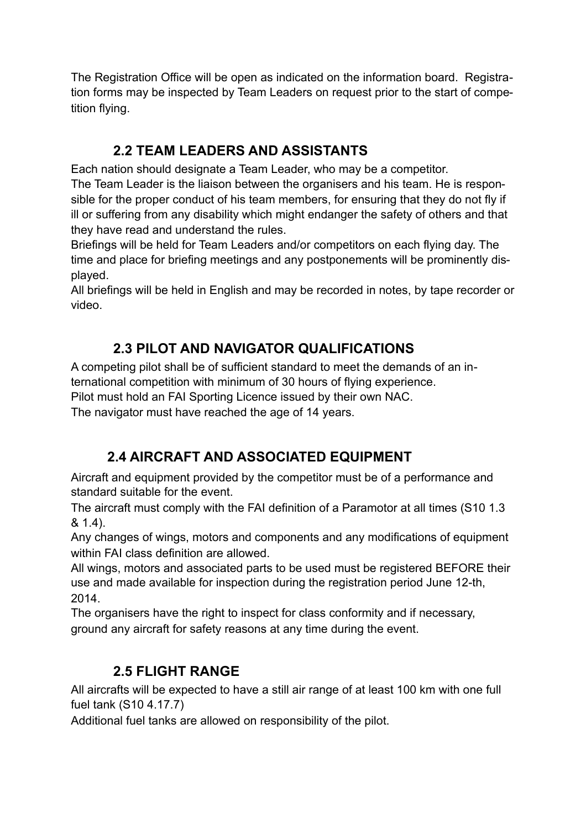The Registration Office will be open as indicated on the information board. Registration forms may be inspected by Team Leaders on request prior to the start of competition flying.

# **2.2 TEAM LEADERS AND ASSISTANTS**

Each nation should designate a Team Leader, who may be a competitor. The Team Leader is the liaison between the organisers and his team. He is responsible for the proper conduct of his team members, for ensuring that they do not fly if ill or suffering from any disability which might endanger the safety of others and that they have read and understand the rules.

Briefings will be held for Team Leaders and/or competitors on each flying day. The time and place for briefing meetings and any postponements will be prominently displayed.

All briefings will be held in English and may be recorded in notes, by tape recorder or video.

# **2.3 PILOT AND NAVIGATOR QUALIFICATIONS**

A competing pilot shall be of sufficient standard to meet the demands of an international competition with minimum of 30 hours of flying experience. Pilot must hold an FAI Sporting Licence issued by their own NAC.

The navigator must have reached the age of 14 years.

# **2.4 AIRCRAFT AND ASSOCIATED EQUIPMENT**

Aircraft and equipment provided by the competitor must be of a performance and standard suitable for the event.

The aircraft must comply with the FAI definition of a Paramotor at all times (S10 1.3 & 1.4).

Any changes of wings, motors and components and any modifications of equipment within FAI class definition are allowed.

All wings, motors and associated parts to be used must be registered BEFORE their use and made available for inspection during the registration period June 12-th, 2014.

The organisers have the right to inspect for class conformity and if necessary, ground any aircraft for safety reasons at any time during the event.

# **2.5 FLIGHT RANGE**

All aircrafts will be expected to have a still air range of at least 100 km with one full fuel tank (S10 4.17.7)

Additional fuel tanks are allowed on responsibility of the pilot.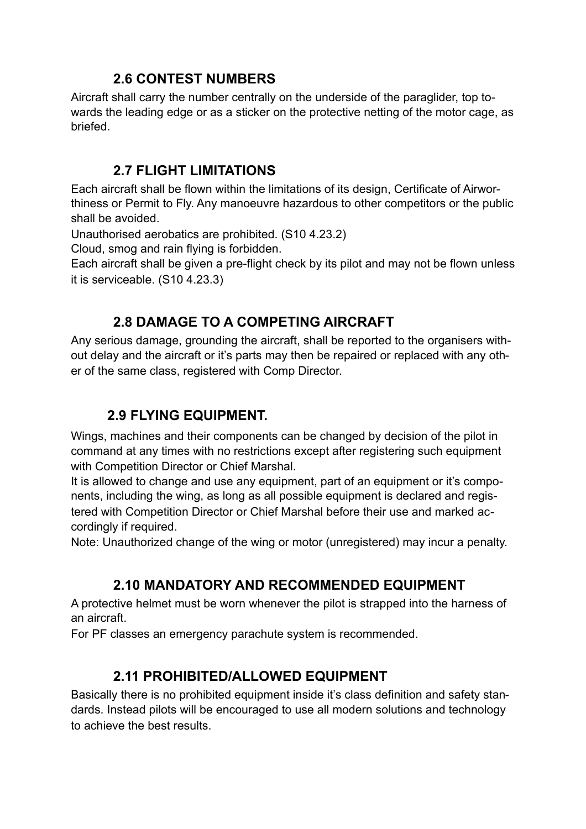### **2.6 CONTEST NUMBERS**

Aircraft shall carry the number centrally on the underside of the paraglider, top towards the leading edge or as a sticker on the protective netting of the motor cage, as briefed.

### **2.7 FLIGHT LIMITATIONS**

Each aircraft shall be flown within the limitations of its design, Certificate of Airworthiness or Permit to Fly. Any manoeuvre hazardous to other competitors or the public shall be avoided.

Unauthorised aerobatics are prohibited. (S10 4.23.2)

Cloud, smog and rain flying is forbidden.

Each aircraft shall be given a pre-flight check by its pilot and may not be flown unless it is serviceable. (S10 4.23.3)

## **2.8 DAMAGE TO A COMPETING AIRCRAFT**

Any serious damage, grounding the aircraft, shall be reported to the organisers without delay and the aircraft or it's parts may then be repaired or replaced with any other of the same class, registered with Comp Director.

# **2.9 FLYING EQUIPMENT.**

Wings, machines and their components can be changed by decision of the pilot in command at any times with no restrictions except after registering such equipment with Competition Director or Chief Marshal.

It is allowed to change and use any equipment, part of an equipment or it's components, including the wing, as long as all possible equipment is declared and registered with Competition Director or Chief Marshal before their use and marked accordingly if required.

Note: Unauthorized change of the wing or motor (unregistered) may incur a penalty.

# **2.10 MANDATORY AND RECOMMENDED EQUIPMENT**

A protective helmet must be worn whenever the pilot is strapped into the harness of an aircraft.

For PF classes an emergency parachute system is recommended.

### **2.11 PROHIBITED/ALLOWED EQUIPMENT**

Basically there is no prohibited equipment inside it's class definition and safety standards. Instead pilots will be encouraged to use all modern solutions and technology to achieve the best results.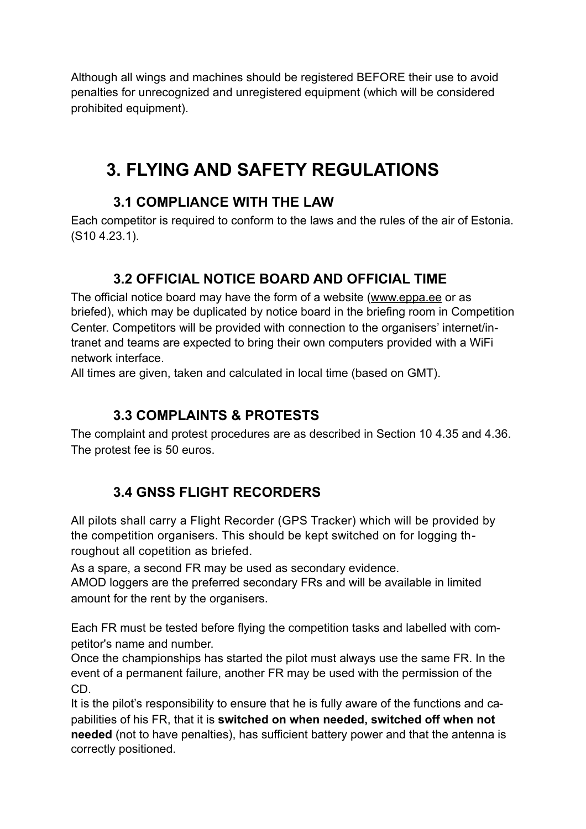Although all wings and machines should be registered BEFORE their use to avoid penalties for unrecognized and unregistered equipment (which will be considered prohibited equipment).

# **3. FLYING AND SAFETY REGULATIONS**

### **3.1 COMPLIANCE WITH THE LAW**

Each competitor is required to conform to the laws and the rules of the air of Estonia. (S10 4.23.1).

# **3.2 OFFICIAL NOTICE BOARD AND OFFICIAL TIME**

The official notice board may have the form of a website ([www.eppa.ee](http://www.eppa.ee/) or as briefed), which may be duplicated by notice board in the briefing room in Competition Center. Competitors will be provided with connection to the organisers' internet/intranet and teams are expected to bring their own computers provided with a WiFi network interface.

All times are given, taken and calculated in local time (based on GMT).

### **3.3 COMPLAINTS & PROTESTS**

The complaint and protest procedures are as described in Section 10 4.35 and 4.36. The protest fee is 50 euros.

# **3.4 GNSS FLIGHT RECORDERS**

All pilots shall carry a Flight Recorder (GPS Tracker) which will be provided by the competition organisers. This should be kept switched on for logging throughout all copetition as briefed.

As a spare, a second FR may be used as secondary evidence.

AMOD loggers are the preferred secondary FRs and will be available in limited amount for the rent by the organisers.

Each FR must be tested before flying the competition tasks and labelled with competitor's name and number.

Once the championships has started the pilot must always use the same FR. In the event of a permanent failure, another FR may be used with the permission of the CD.

It is the pilot's responsibility to ensure that he is fully aware of the functions and capabilities of his FR, that it is **switched on when needed, switched off when not needed** (not to have penalties), has sufficient battery power and that the antenna is correctly positioned.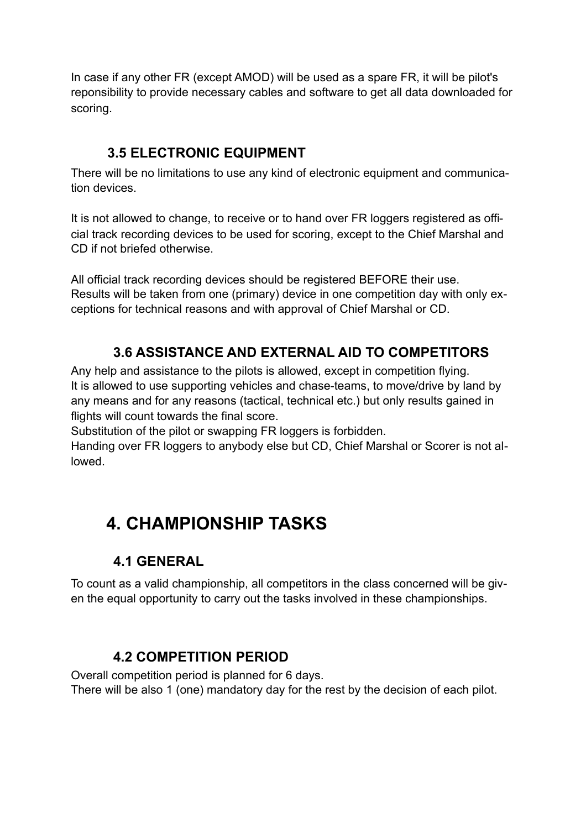In case if any other FR (except AMOD) will be used as a spare FR, it will be pilot's reponsibility to provide necessary cables and software to get all data downloaded for scoring.

## **3.5 ELECTRONIC EQUIPMENT**

There will be no limitations to use any kind of electronic equipment and communication devices.

It is not allowed to change, to receive or to hand over FR loggers registered as official track recording devices to be used for scoring, except to the Chief Marshal and CD if not briefed otherwise.

All official track recording devices should be registered BEFORE their use. Results will be taken from one (primary) device in one competition day with only exceptions for technical reasons and with approval of Chief Marshal or CD.

# **3.6 ASSISTANCE AND EXTERNAL AID TO COMPETITORS**

Any help and assistance to the pilots is allowed, except in competition flying. It is allowed to use supporting vehicles and chase-teams, to move/drive by land by any means and for any reasons (tactical, technical etc.) but only results gained in flights will count towards the final score.

Substitution of the pilot or swapping FR loggers is forbidden.

Handing over FR loggers to anybody else but CD, Chief Marshal or Scorer is not allowed.

# **4. CHAMPIONSHIP TASKS**

# **4.1 GENERAL**

To count as a valid championship, all competitors in the class concerned will be given the equal opportunity to carry out the tasks involved in these championships.

### **4.2 COMPETITION PERIOD**

Overall competition period is planned for 6 days. There will be also 1 (one) mandatory day for the rest by the decision of each pilot.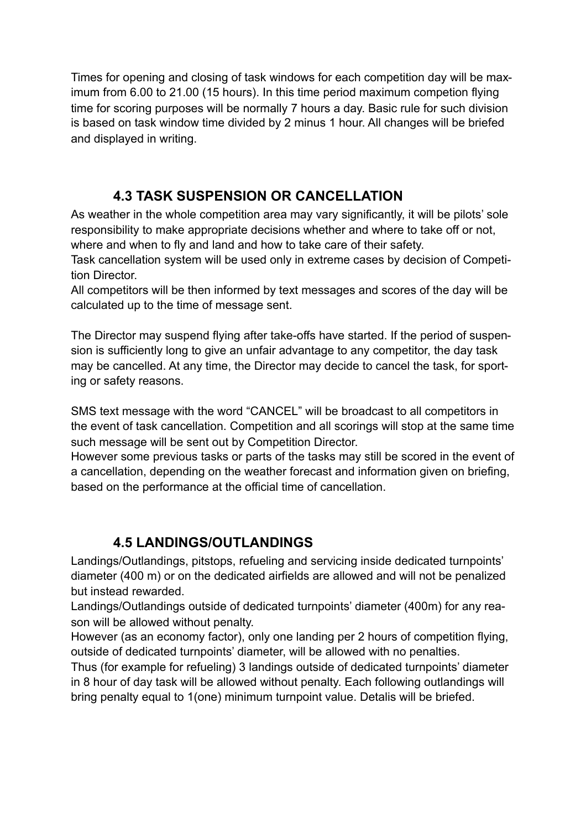Times for opening and closing of task windows for each competition day will be maximum from 6.00 to 21.00 (15 hours). In this time period maximum competion flying time for scoring purposes will be normally 7 hours a day. Basic rule for such division is based on task window time divided by 2 minus 1 hour. All changes will be briefed and displayed in writing.

# **4.3 TASK SUSPENSION OR CANCELLATION**

As weather in the whole competition area may vary significantly, it will be pilots' sole responsibility to make appropriate decisions whether and where to take off or not, where and when to fly and land and how to take care of their safety.

Task cancellation system will be used only in extreme cases by decision of Competition Director.

All competitors will be then informed by text messages and scores of the day will be calculated up to the time of message sent.

The Director may suspend flying after take-offs have started. If the period of suspension is sufficiently long to give an unfair advantage to any competitor, the day task may be cancelled. At any time, the Director may decide to cancel the task, for sporting or safety reasons.

SMS text message with the word "CANCEL" will be broadcast to all competitors in the event of task cancellation. Competition and all scorings will stop at the same time such message will be sent out by Competition Director.

However some previous tasks or parts of the tasks may still be scored in the event of a cancellation, depending on the weather forecast and information given on briefing, based on the performance at the official time of cancellation.

# **4.5 LANDINGS/OUTLANDINGS**

Landings/Outlandings, pitstops, refueling and servicing inside dedicated turnpoints' diameter (400 m) or on the dedicated airfields are allowed and will not be penalized but instead rewarded.

Landings/Outlandings outside of dedicated turnpoints' diameter (400m) for any reason will be allowed without penalty.

However (as an economy factor), only one landing per 2 hours of competition flying, outside of dedicated turnpoints' diameter, will be allowed with no penalties.

Thus (for example for refueling) 3 landings outside of dedicated turnpoints' diameter in 8 hour of day task will be allowed without penalty. Each following outlandings will bring penalty equal to 1(one) minimum turnpoint value. Detalis will be briefed.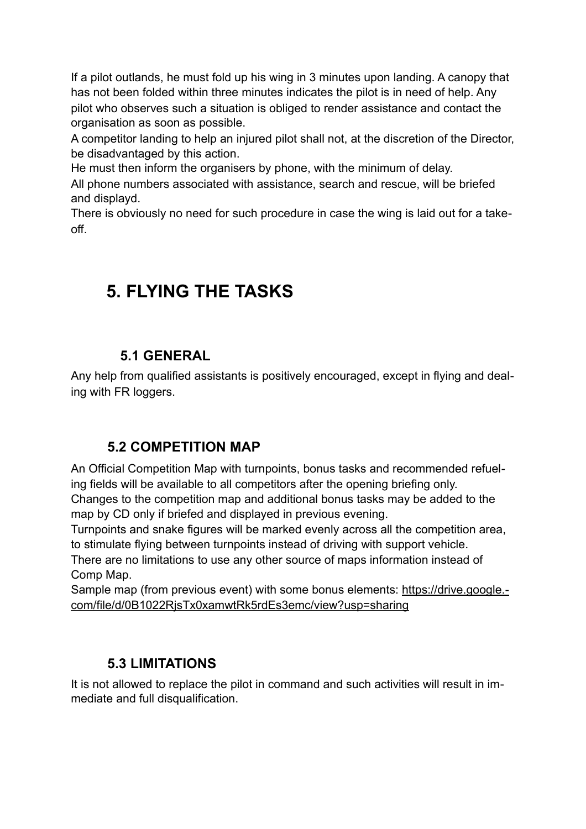If a pilot outlands, he must fold up his wing in 3 minutes upon landing. A canopy that has not been folded within three minutes indicates the pilot is in need of help. Any pilot who observes such a situation is obliged to render assistance and contact the organisation as soon as possible.

A competitor landing to help an injured pilot shall not, at the discretion of the Director, be disadvantaged by this action.

He must then inform the organisers by phone, with the minimum of delay.

All phone numbers associated with assistance, search and rescue, will be briefed and displayd.

There is obviously no need for such procedure in case the wing is laid out for a takeoff.

# **5. FLYING THE TASKS**

## **5.1 GENERAL**

Any help from qualified assistants is positively encouraged, except in flying and dealing with FR loggers.

### **5.2 COMPETITION MAP**

An Official Competition Map with turnpoints, bonus tasks and recommended refueling fields will be available to all competitors after the opening briefing only. Changes to the competition map and additional bonus tasks may be added to the map by CD only if briefed and displayed in previous evening.

Turnpoints and snake figures will be marked evenly across all the competition area, to stimulate flying between turnpoints instead of driving with support vehicle.

There are no limitations to use any other source of maps information instead of Comp Map.

[Sample map \(from previous event\) with some bonus elements: https://drive.google.](https://drive.google.com/file/d/0B1022RjsTx0xamwtRk5rdEs3emc/view?usp=sharing) com/file/d/0B1022RjsTx0xamwtRk5rdEs3emc/view?usp=sharing

### **5.3 LIMITATIONS**

It is not allowed to replace the pilot in command and such activities will result in immediate and full disqualification.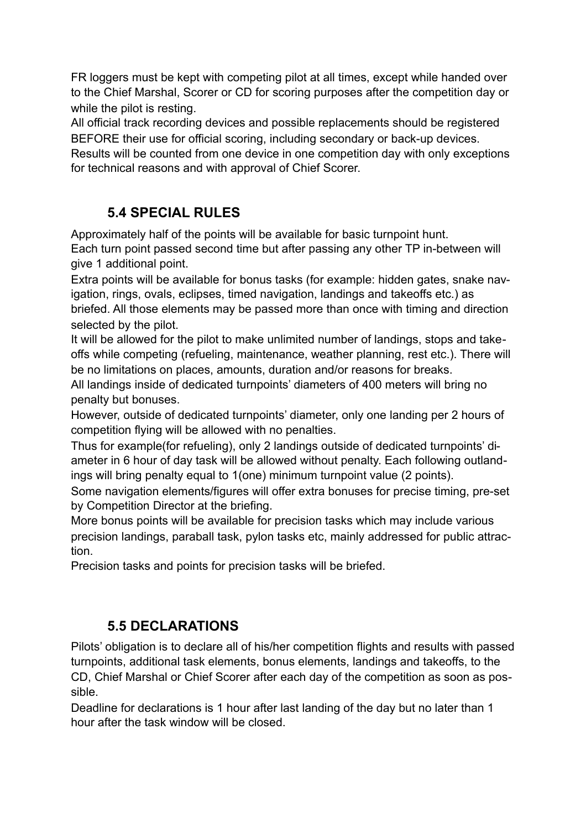FR loggers must be kept with competing pilot at all times, except while handed over to the Chief Marshal, Scorer or CD for scoring purposes after the competition day or while the pilot is resting.

All official track recording devices and possible replacements should be registered BEFORE their use for official scoring, including secondary or back-up devices. Results will be counted from one device in one competition day with only exceptions for technical reasons and with approval of Chief Scorer.

# **5.4 SPECIAL RULES**

Approximately half of the points will be available for basic turnpoint hunt. Each turn point passed second time but after passing any other TP in-between will give 1 additional point.

Extra points will be available for bonus tasks (for example: hidden gates, snake navigation, rings, ovals, eclipses, timed navigation, landings and takeoffs etc.) as briefed. All those elements may be passed more than once with timing and direction selected by the pilot.

It will be allowed for the pilot to make unlimited number of landings, stops and takeoffs while competing (refueling, maintenance, weather planning, rest etc.). There will be no limitations on places, amounts, duration and/or reasons for breaks.

All landings inside of dedicated turnpoints' diameters of 400 meters will bring no penalty but bonuses.

However, outside of dedicated turnpoints' diameter, only one landing per 2 hours of competition flying will be allowed with no penalties.

Thus for example(for refueling), only 2 landings outside of dedicated turnpoints' diameter in 6 hour of day task will be allowed without penalty. Each following outlandings will bring penalty equal to 1(one) minimum turnpoint value (2 points).

Some navigation elements/figures will offer extra bonuses for precise timing, pre-set by Competition Director at the briefing.

More bonus points will be available for precision tasks which may include various precision landings, paraball task, pylon tasks etc, mainly addressed for public attraction.

Precision tasks and points for precision tasks will be briefed.

# **5.5 DECLARATIONS**

Pilots' obligation is to declare all of his/her competition flights and results with passed turnpoints, additional task elements, bonus elements, landings and takeoffs, to the CD, Chief Marshal or Chief Scorer after each day of the competition as soon as possible.

Deadline for declarations is 1 hour after last landing of the day but no later than 1 hour after the task window will be closed.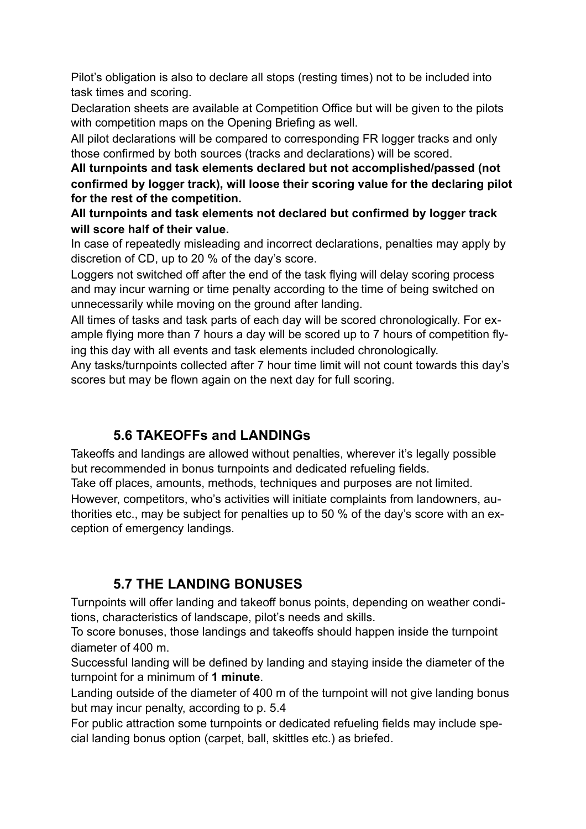Pilot's obligation is also to declare all stops (resting times) not to be included into task times and scoring.

Declaration sheets are available at Competition Office but will be given to the pilots with competition maps on the Opening Briefing as well.

All pilot declarations will be compared to corresponding FR logger tracks and only those confirmed by both sources (tracks and declarations) will be scored.

**All turnpoints and task elements declared but not accomplished/passed (not confirmed by logger track), will loose their scoring value for the declaring pilot for the rest of the competition.**

**All turnpoints and task elements not declared but confirmed by logger track will score half of their value.**

In case of repeatedly misleading and incorrect declarations, penalties may apply by discretion of CD, up to 20 % of the day's score.

Loggers not switched off after the end of the task flying will delay scoring process and may incur warning or time penalty according to the time of being switched on unnecessarily while moving on the ground after landing.

All times of tasks and task parts of each day will be scored chronologically. For example flying more than 7 hours a day will be scored up to 7 hours of competition flying this day with all events and task elements included chronologically.

Any tasks/turnpoints collected after 7 hour time limit will not count towards this day's scores but may be flown again on the next day for full scoring.

# **5.6 TAKEOFFs and LANDINGs**

Takeoffs and landings are allowed without penalties, wherever it's legally possible but recommended in bonus turnpoints and dedicated refueling fields.

Take off places, amounts, methods, techniques and purposes are not limited.

However, competitors, who's activities will initiate complaints from landowners, authorities etc., may be subject for penalties up to 50 % of the day's score with an exception of emergency landings.

### **5.7 THE LANDING BONUSES**

Turnpoints will offer landing and takeoff bonus points, depending on weather conditions, characteristics of landscape, pilot's needs and skills.

To score bonuses, those landings and takeoffs should happen inside the turnpoint diameter of 400 m.

Successful landing will be defined by landing and staying inside the diameter of the turnpoint for a minimum of **1 minute**.

Landing outside of the diameter of 400 m of the turnpoint will not give landing bonus but may incur penalty, according to p. 5.4

For public attraction some turnpoints or dedicated refueling fields may include special landing bonus option (carpet, ball, skittles etc.) as briefed.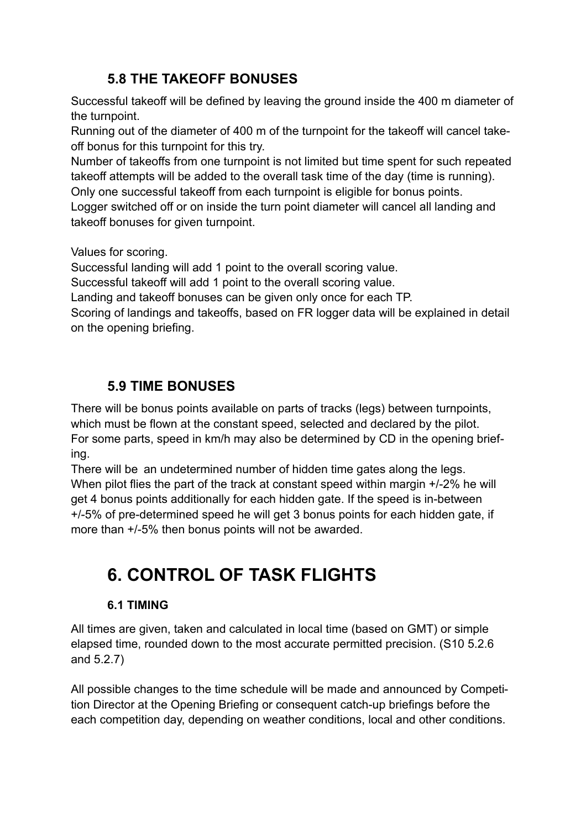# **5.8 THE TAKEOFF BONUSES**

Successful takeoff will be defined by leaving the ground inside the 400 m diameter of the turnpoint.

Running out of the diameter of 400 m of the turnpoint for the takeoff will cancel takeoff bonus for this turnpoint for this try.

Number of takeoffs from one turnpoint is not limited but time spent for such repeated takeoff attempts will be added to the overall task time of the day (time is running). Only one successful takeoff from each turnpoint is eligible for bonus points.

Logger switched off or on inside the turn point diameter will cancel all landing and takeoff bonuses for given turnpoint.

Values for scoring.

Successful landing will add 1 point to the overall scoring value.

Successful takeoff will add 1 point to the overall scoring value.

Landing and takeoff bonuses can be given only once for each TP.

Scoring of landings and takeoffs, based on FR logger data will be explained in detail on the opening briefing.

# **5.9 TIME BONUSES**

There will be bonus points available on parts of tracks (legs) between turnpoints, which must be flown at the constant speed, selected and declared by the pilot. For some parts, speed in km/h may also be determined by CD in the opening briefing.

There will be an undetermined number of hidden time gates along the legs. When pilot flies the part of the track at constant speed within margin  $+/-2\%$  he will get 4 bonus points additionally for each hidden gate. If the speed is in-between +/-5% of pre-determined speed he will get 3 bonus points for each hidden gate, if more than +/-5% then bonus points will not be awarded.

# **6. CONTROL OF TASK FLIGHTS**

### **6.1 TIMING**

All times are given, taken and calculated in local time (based on GMT) or simple elapsed time, rounded down to the most accurate permitted precision. (S10 5.2.6 and 5.2.7)

All possible changes to the time schedule will be made and announced by Competition Director at the Opening Briefing or consequent catch-up briefings before the each competition day, depending on weather conditions, local and other conditions.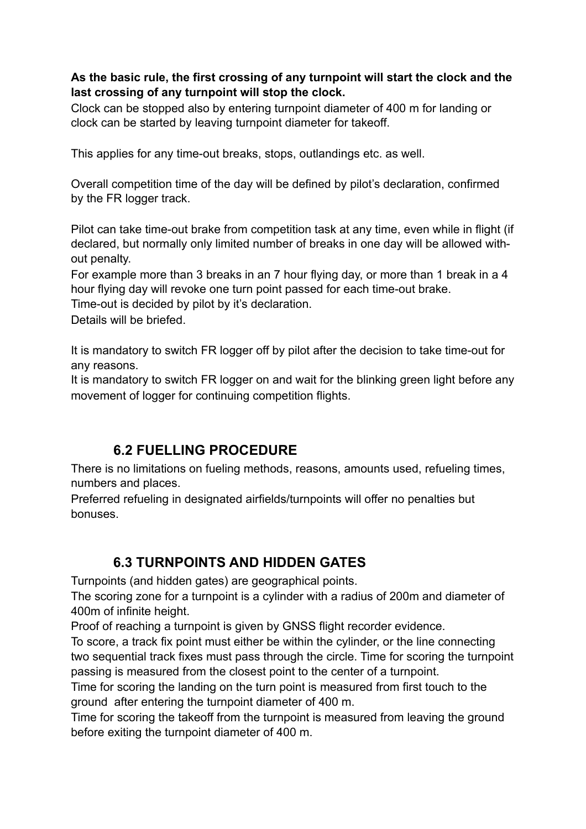#### **As the basic rule, the first crossing of any turnpoint will start the clock and the last crossing of any turnpoint will stop the clock.**

Clock can be stopped also by entering turnpoint diameter of 400 m for landing or clock can be started by leaving turnpoint diameter for takeoff.

This applies for any time-out breaks, stops, outlandings etc. as well.

Overall competition time of the day will be defined by pilot's declaration, confirmed by the FR logger track.

Pilot can take time-out brake from competition task at any time, even while in flight (if declared, but normally only limited number of breaks in one day will be allowed without penalty.

For example more than 3 breaks in an 7 hour flying day, or more than 1 break in a 4 hour flying day will revoke one turn point passed for each time-out brake.

Time-out is decided by pilot by it's declaration.

Details will be briefed.

It is mandatory to switch FR logger off by pilot after the decision to take time-out for any reasons.

It is mandatory to switch FR logger on and wait for the blinking green light before any movement of logger for continuing competition flights.

### **6.2 FUELLING PROCEDURE**

There is no limitations on fueling methods, reasons, amounts used, refueling times, numbers and places.

Preferred refueling in designated airfields/turnpoints will offer no penalties but bonuses.

### **6.3 TURNPOINTS AND HIDDEN GATES**

Turnpoints (and hidden gates) are geographical points.

The scoring zone for a turnpoint is a cylinder with a radius of 200m and diameter of 400m of infinite height.

Proof of reaching a turnpoint is given by GNSS flight recorder evidence.

To score, a track fix point must either be within the cylinder, or the line connecting two sequential track fixes must pass through the circle. Time for scoring the turnpoint passing is measured from the closest point to the center of a turnpoint.

Time for scoring the landing on the turn point is measured from first touch to the ground after entering the turnpoint diameter of 400 m.

Time for scoring the takeoff from the turnpoint is measured from leaving the ground before exiting the turnpoint diameter of 400 m.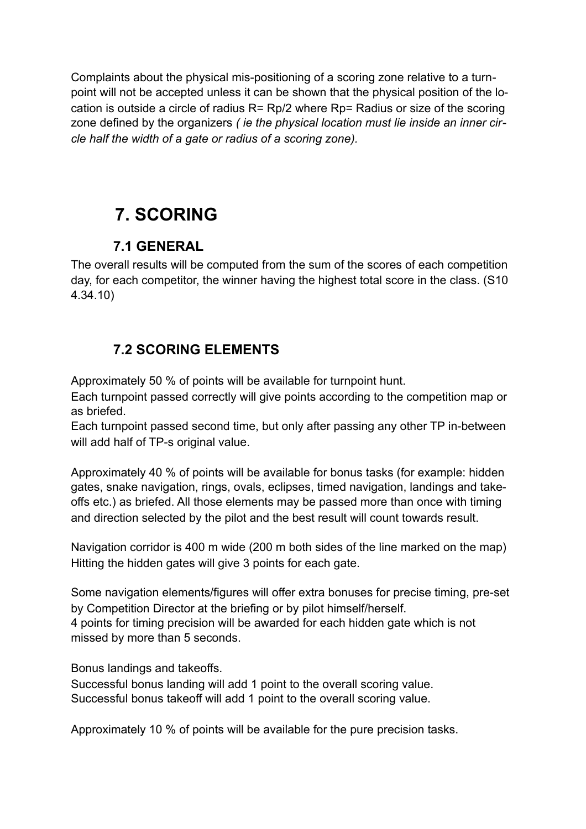Complaints about the physical mis-positioning of a scoring zone relative to a turnpoint will not be accepted unless it can be shown that the physical position of the location is outside a circle of radius R= Rp/2 where Rp= Radius or size of the scoring zone defined by the organizers *( ie the physical location must lie inside an inner circle half the width of a gate or radius of a scoring zone).*

# **7. SCORING**

## **7.1 GENERAL**

The overall results will be computed from the sum of the scores of each competition day, for each competitor, the winner having the highest total score in the class. (S10 4.34.10)

# **7.2 SCORING ELEMENTS**

Approximately 50 % of points will be available for turnpoint hunt.

Each turnpoint passed correctly will give points according to the competition map or as briefed.

Each turnpoint passed second time, but only after passing any other TP in-between will add half of TP-s original value.

Approximately 40 % of points will be available for bonus tasks (for example: hidden gates, snake navigation, rings, ovals, eclipses, timed navigation, landings and takeoffs etc.) as briefed. All those elements may be passed more than once with timing and direction selected by the pilot and the best result will count towards result.

Navigation corridor is 400 m wide (200 m both sides of the line marked on the map) Hitting the hidden gates will give 3 points for each gate.

Some navigation elements/figures will offer extra bonuses for precise timing, pre-set by Competition Director at the briefing or by pilot himself/herself. 4 points for timing precision will be awarded for each hidden gate which is not missed by more than 5 seconds.

Bonus landings and takeoffs.

Successful bonus landing will add 1 point to the overall scoring value. Successful bonus takeoff will add 1 point to the overall scoring value.

Approximately 10 % of points will be available for the pure precision tasks.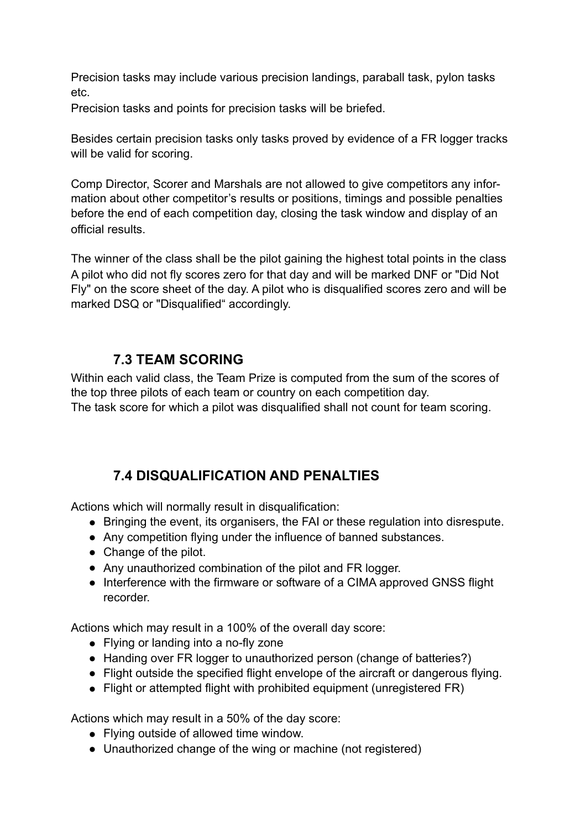Precision tasks may include various precision landings, paraball task, pylon tasks etc.

Precision tasks and points for precision tasks will be briefed.

Besides certain precision tasks only tasks proved by evidence of a FR logger tracks will be valid for scoring.

Comp Director, Scorer and Marshals are not allowed to give competitors any information about other competitor's results or positions, timings and possible penalties before the end of each competition day, closing the task window and display of an official results.

The winner of the class shall be the pilot gaining the highest total points in the class A pilot who did not fly scores zero for that day and will be marked DNF or "Did Not Fly" on the score sheet of the day. A pilot who is disqualified scores zero and will be marked DSQ or "Disqualified" accordingly.

#### **7.3 TEAM SCORING**

Within each valid class, the Team Prize is computed from the sum of the scores of the top three pilots of each team or country on each competition day. The task score for which a pilot was disqualified shall not count for team scoring.

### **7.4 DISQUALIFICATION AND PENALTIES**

Actions which will normally result in disqualification:

- Bringing the event, its organisers, the FAI or these regulation into disrespute.
- Any competition flying under the influence of banned substances.
- Change of the pilot.
- Any unauthorized combination of the pilot and FR logger.
- Interference with the firmware or software of a CIMA approved GNSS flight recorder.

Actions which may result in a 100% of the overall day score:

- Flying or landing into a no-fly zone
- Handing over FR logger to unauthorized person (change of batteries?)
- Flight outside the specified flight envelope of the aircraft or dangerous flying.
- Flight or attempted flight with prohibited equipment (unregistered FR)

Actions which may result in a 50% of the day score:

- Flying outside of allowed time window.
- Unauthorized change of the wing or machine (not registered)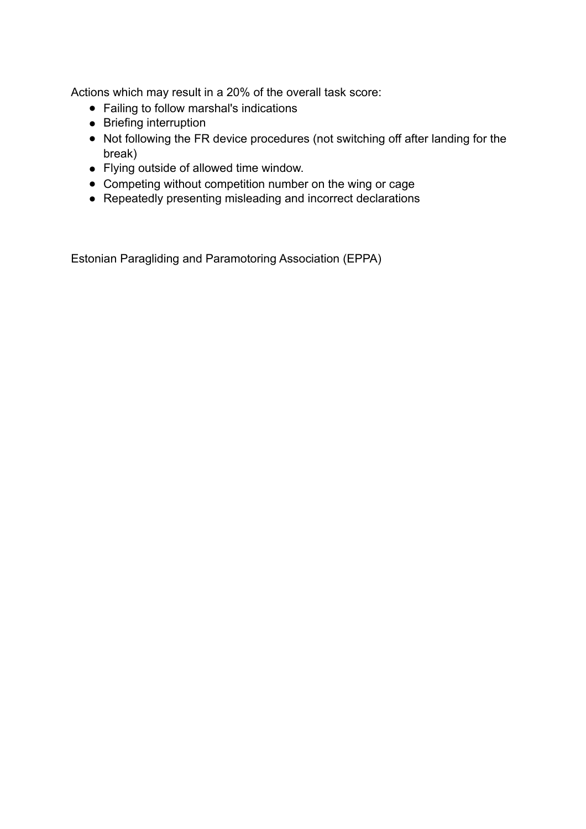Actions which may result in a 20% of the overall task score:

- Failing to follow marshal's indications
- Briefing interruption
- Not following the FR device procedures (not switching off after landing for the break)
- Flying outside of allowed time window.
- Competing without competition number on the wing or cage
- Repeatedly presenting misleading and incorrect declarations

Estonian Paragliding and Paramotoring Association (EPPA)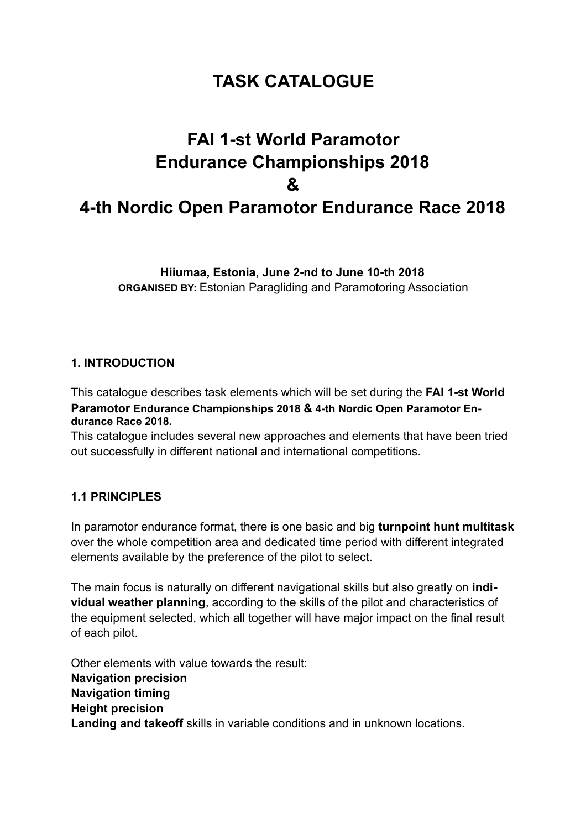# **TASK CATALOGUE**

# **FAI 1-st World Paramotor Endurance Championships 2018 & 4-th Nordic Open Paramotor Endurance Race 2018**

**Hiiumaa, Estonia, June 2-nd to June 10-th 2018 ORGANISED BY:** Estonian Paragliding and Paramotoring Association

#### **1. INTRODUCTION**

This catalogue describes task elements which will be set during the **FAI 1-st World Paramotor Endurance Championships 2018 & 4-th Nordic Open Paramotor Endurance Race 2018.**

This catalogue includes several new approaches and elements that have been tried out successfully in different national and international competitions.

#### **1.1 PRINCIPLES**

In paramotor endurance format, there is one basic and big **turnpoint hunt multitask** over the whole competition area and dedicated time period with different integrated elements available by the preference of the pilot to select.

The main focus is naturally on different navigational skills but also greatly on **individual weather planning**, according to the skills of the pilot and characteristics of the equipment selected, which all together will have major impact on the final result of each pilot.

Other elements with value towards the result: **Navigation precision Navigation timing Height precision Landing and takeoff** skills in variable conditions and in unknown locations.